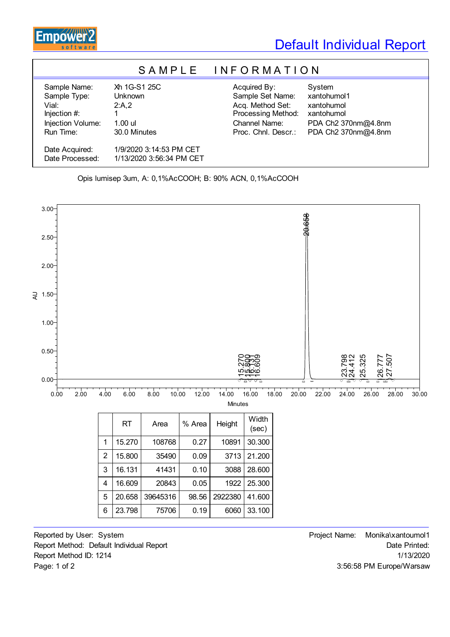

## Default Individual Report

## S A M P L E I N F O R M A T I O N

Sample Name: Xh 1G-S1 25C Acquired By: System Sample Type: Unknown Sample Set Name: xantohumol1 Vial: 2:A,2 2:A,2 Acq. Method Set: xantohumol Injection #: 1 Processing Method: xantohumol Injection Volume: 1.00 ul Channel Name: PDA Ch2 370nm@4.8nm Run Time: 30.0 Minutes Proc. Chnl. Descr.: PDA Ch2 370nm@4.8nm

Reported by User: System  $\Box$  Project Name: Monika\xantoumol1 Report Method: Default Individual Report **Date Printed:** Report Method ID: 1214 1/13/2020 Page: 1 of 2 3:56:58 PM Europe/Warsaw

Date Acquired: 1/9/2020 3:14:53 PM CET Date Processed: 1/13/2020 3:56:34 PM CET

Opis lumisep 3um, A: 0,1%AcCOOH; B: 90% ACN, 0,1%AcCOOH



|                | <b>RT</b> | Area     | % Area | Height  | Width<br>(sec) |
|----------------|-----------|----------|--------|---------|----------------|
| 1              | 15.270    | 108768   | 0.27   | 10891   | 30.300         |
| $\overline{2}$ | 15.800    | 35490    | 0.09   | 3713    | 21.200         |
| 3              | 16.131    | 41431    | 0.10   | 3088    | 28.600         |
| 4              | 16.609    | 20843    | 0.05   | 1922    | 25,300         |
| 5              | 20.658    | 39645316 | 98.56  | 2922380 | 41.600         |
|                | 23.798    | 75706    | 0.19   | 6060    | 33.100         |